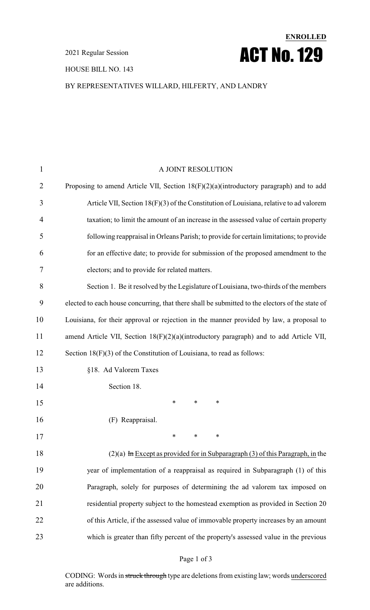#### HOUSE BILL NO. 143

### BY REPRESENTATIVES WILLARD, HILFERTY, AND LANDRY

**ENROLLED**

ACT No.129

| $\mathbf{1}$   | A JOINT RESOLUTION                                                                              |
|----------------|-------------------------------------------------------------------------------------------------|
| $\overline{2}$ | Proposing to amend Article VII, Section $18(F)(2)(a)$ (introductory paragraph) and to add       |
| 3              | Article VII, Section 18(F)(3) of the Constitution of Louisiana, relative to ad valorem          |
| 4              | taxation; to limit the amount of an increase in the assessed value of certain property          |
| 5              | following reappraisal in Orleans Parish; to provide for certain limitations; to provide         |
| 6              | for an effective date; to provide for submission of the proposed amendment to the               |
| 7              | electors; and to provide for related matters.                                                   |
| 8              | Section 1. Be it resolved by the Legislature of Louisiana, two-thirds of the members            |
| 9              | elected to each house concurring, that there shall be submitted to the electors of the state of |
| 10             | Louisiana, for their approval or rejection in the manner provided by law, a proposal to         |
| 11             | amend Article VII, Section 18(F)(2)(a)(introductory paragraph) and to add Article VII,          |
| 12             | Section 18(F)(3) of the Constitution of Louisiana, to read as follows:                          |
| 13             | §18. Ad Valorem Taxes                                                                           |
| 14             | Section 18.                                                                                     |
| 15             | $\ast$<br>$\ast$<br>∗                                                                           |
| 16             | (F) Reappraisal.                                                                                |
| 17             | ∗<br>∗<br>∗                                                                                     |
| 18             | $(2)(a)$ In Except as provided for in Subparagraph (3) of this Paragraph, in the                |
| 19             | year of implementation of a reappraisal as required in Subparagraph (1) of this                 |
| 20             | Paragraph, solely for purposes of determining the ad valorem tax imposed on                     |
| 21             | residential property subject to the homestead exemption as provided in Section 20               |
| 22             | of this Article, if the assessed value of immovable property increases by an amount             |
| 23             | which is greater than fifty percent of the property's assessed value in the previous            |

#### Page 1 of 3

CODING: Words in struck through type are deletions from existing law; words underscored are additions.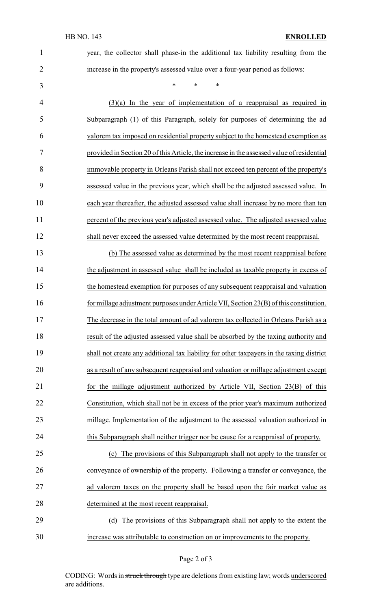| $\mathbf{1}$   | year, the collector shall phase-in the additional tax liability resulting from the        |
|----------------|-------------------------------------------------------------------------------------------|
| $\overline{2}$ | increase in the property's assessed value over a four-year period as follows:             |
| 3              | *<br>∗<br>∗                                                                               |
| $\overline{4}$ | $(3)(a)$ In the year of implementation of a reappraisal as required in                    |
| 5              | Subparagraph (1) of this Paragraph, solely for purposes of determining the ad             |
| 6              | valorem tax imposed on residential property subject to the homestead exemption as         |
| 7              | provided in Section 20 of this Article, the increase in the assessed value of residential |
| 8              | immovable property in Orleans Parish shall not exceed ten percent of the property's       |
| 9              | assessed value in the previous year, which shall be the adjusted assessed value. In       |
| 10             | each year thereafter, the adjusted assessed value shall increase by no more than ten      |
| 11             | percent of the previous year's adjusted assessed value. The adjusted assessed value       |
| 12             | shall never exceed the assessed value determined by the most recent reappraisal.          |
| 13             | (b) The assessed value as determined by the most recent reappraisal before                |
| 14             | the adjustment in assessed value shall be included as taxable property in excess of       |
| 15             | the homestead exemption for purposes of any subsequent reappraisal and valuation          |
| 16             | for millage adjustment purposes under Article VII, Section 23(B) of this constitution.    |
| 17             | The decrease in the total amount of ad valorem tax collected in Orleans Parish as a       |
| 18             | result of the adjusted assessed value shall be absorbed by the taxing authority and       |
| 19             | shall not create any additional tax liability for other taxpayers in the taxing district  |
| 20             | as a result of any subsequent reappraisal and valuation or millage adjustment except      |
| 21             | for the millage adjustment authorized by Article VII, Section 23(B) of this               |
| 22             | Constitution, which shall not be in excess of the prior year's maximum authorized         |

24 this Subparagraph shall neither trigger nor be cause for a reappraisal of property.

millage. Implementation of the adjustment to the assessed valuation authorized in

 (c) The provisions of this Subparagraph shall not apply to the transfer or conveyance of ownership of the property. Following a transfer or conveyance, the 27 ad valorem taxes on the property shall be based upon the fair market value as determined at the most recent reappraisal.

29 (d) The provisions of this Subparagraph shall not apply to the extent the increase was attributable to construction on or improvements to the property.

#### Page 2 of 3

CODING: Words in struck through type are deletions from existing law; words underscored are additions.